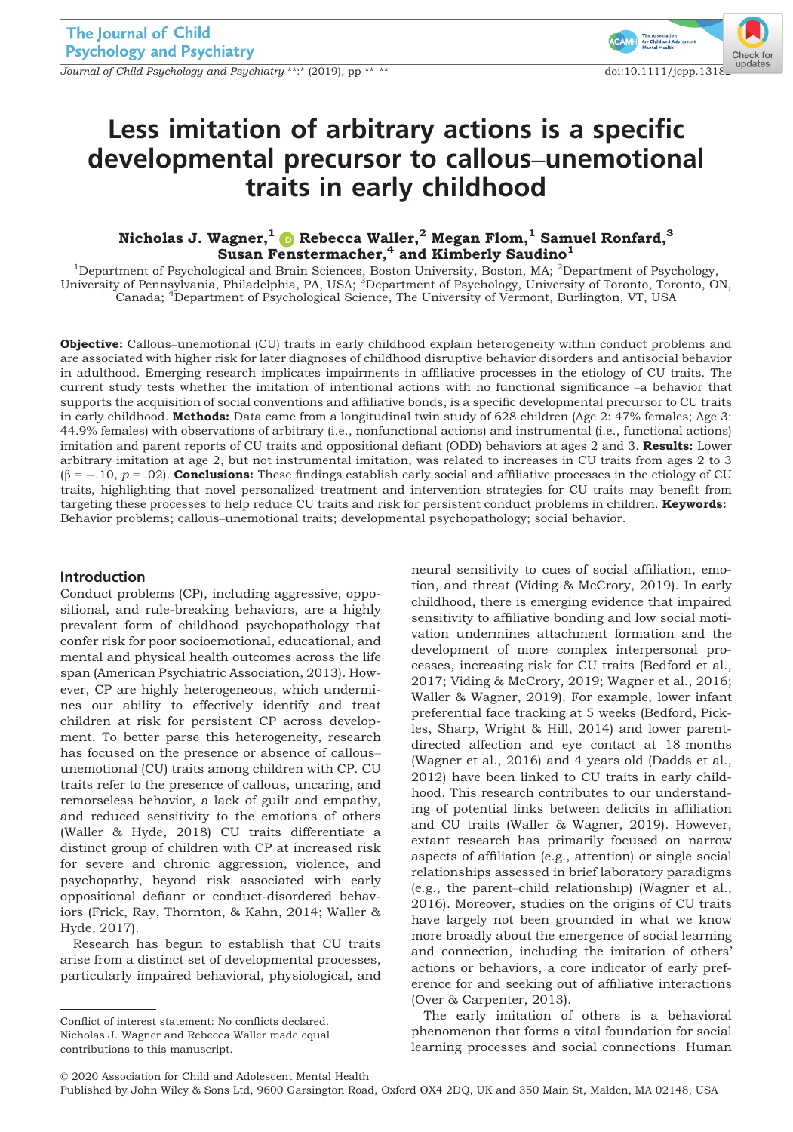Journal of Child Psychology and Psychiatry \*\*:\* (2019), pp \*\*–\*\* doi:10.1111/jcpp.131[82](http://crossmark.crossref.org/dialog/?doi=10.1111%2Fjcpp.13182&domain=pdf&date_stamp=2020-01-05)



# Less imitation of arbitrary actions is a specific developmental precursor to callous–unemotional traits in early childhood

# Nicholas J. Wagner, $^1$   $\textcircled{\tiny{\textbullet}}$  Rebecca Waller, $^2$  Megan Flom, $^1$  Samuel Ronfard, $^3$ Susan Fenstermacher,<sup>4</sup> and Kimberly Saudino<sup>1</sup>

<sup>1</sup>Department of Psychological and Brain Sciences, Boston University, Boston, MA; <sup>2</sup>Department of Psychology, University of Pennsylvania, Philadelphia, PA, USA; <sup>3</sup>Department of Psychology, University of Toronto, Toronto Canada; <sup>4</sup>Department of Psychological Science, The University of Vermont, Burlington, VT, USA

Objective: Callous–unemotional (CU) traits in early childhood explain heterogeneity within conduct problems and are associated with higher risk for later diagnoses of childhood disruptive behavior disorders and antisocial behavior in adulthood. Emerging research implicates impairments in affiliative processes in the etiology of CU traits. The current study tests whether the imitation of intentional actions with no functional significance –a behavior that supports the acquisition of social conventions and affiliative bonds, is a specific developmental precursor to CU traits in early childhood. Methods: Data came from a longitudinal twin study of 628 children (Age 2: 47% females; Age 3: 44.9% females) with observations of arbitrary (i.e., nonfunctional actions) and instrumental (i.e., functional actions) imitation and parent reports of CU traits and oppositional defiant (ODD) behaviors at ages 2 and 3. Results: Lower arbitrary imitation at age 2, but not instrumental imitation, was related to increases in CU traits from ages 2 to 3  $(\beta = -.10, p = .02)$ . Conclusions: These findings establish early social and affiliative processes in the etiology of CU traits, highlighting that novel personalized treatment and intervention strategies for CU traits may benefit from targeting these processes to help reduce CU traits and risk for persistent conduct problems in children. Keywords: Behavior problems; callous–unemotional traits; developmental psychopathology; social behavior.

#### Introduction

Conduct problems (CP), including aggressive, oppositional, and rule-breaking behaviors, are a highly prevalent form of childhood psychopathology that confer risk for poor socioemotional, educational, and mental and physical health outcomes across the life span (American Psychiatric Association, 2013). However, CP are highly heterogeneous, which undermines our ability to effectively identify and treat children at risk for persistent CP across development. To better parse this heterogeneity, research has focused on the presence or absence of callous– unemotional (CU) traits among children with CP. CU traits refer to the presence of callous, uncaring, and remorseless behavior, a lack of guilt and empathy, and reduced sensitivity to the emotions of others (Waller & Hyde, 2018) CU traits differentiate a distinct group of children with CP at increased risk for severe and chronic aggression, violence, and psychopathy, beyond risk associated with early oppositional defiant or conduct-disordered behaviors (Frick, Ray, Thornton, & Kahn, 2014; Waller & Hyde, 2017).

Research has begun to establish that CU traits arise from a distinct set of developmental processes, particularly impaired behavioral, physiological, and

neural sensitivity to cues of social affiliation, emotion, and threat (Viding & McCrory, 2019). In early childhood, there is emerging evidence that impaired sensitivity to affiliative bonding and low social motivation undermines attachment formation and the development of more complex interpersonal processes, increasing risk for CU traits (Bedford et al., 2017; Viding & McCrory, 2019; Wagner et al., 2016; Waller & Wagner, 2019). For example, lower infant preferential face tracking at 5 weeks (Bedford, Pickles, Sharp, Wright & Hill, 2014) and lower parentdirected affection and eye contact at 18 months (Wagner et al., 2016) and 4 years old (Dadds et al., 2012) have been linked to CU traits in early childhood. This research contributes to our understanding of potential links between deficits in affiliation and CU traits (Waller & Wagner, 2019). However, extant research has primarily focused on narrow aspects of affiliation (e.g., attention) or single social relationships assessed in brief laboratory paradigms (e.g., the parent–child relationship) (Wagner et al., 2016). Moreover, studies on the origins of CU traits have largely not been grounded in what we know more broadly about the emergence of social learning and connection, including the imitation of others' actions or behaviors, a core indicator of early preference for and seeking out of affiliative interactions (Over & Carpenter, 2013).

The early imitation of others is a behavioral phenomenon that forms a vital foundation for social learning processes and social connections. Human

Conflict of interest statement: No conflicts declared. Nicholas J. Wagner and Rebecca Waller made equal contributions to this manuscript.

<sup>©</sup> 2020 Association for Child and Adolescent Mental Health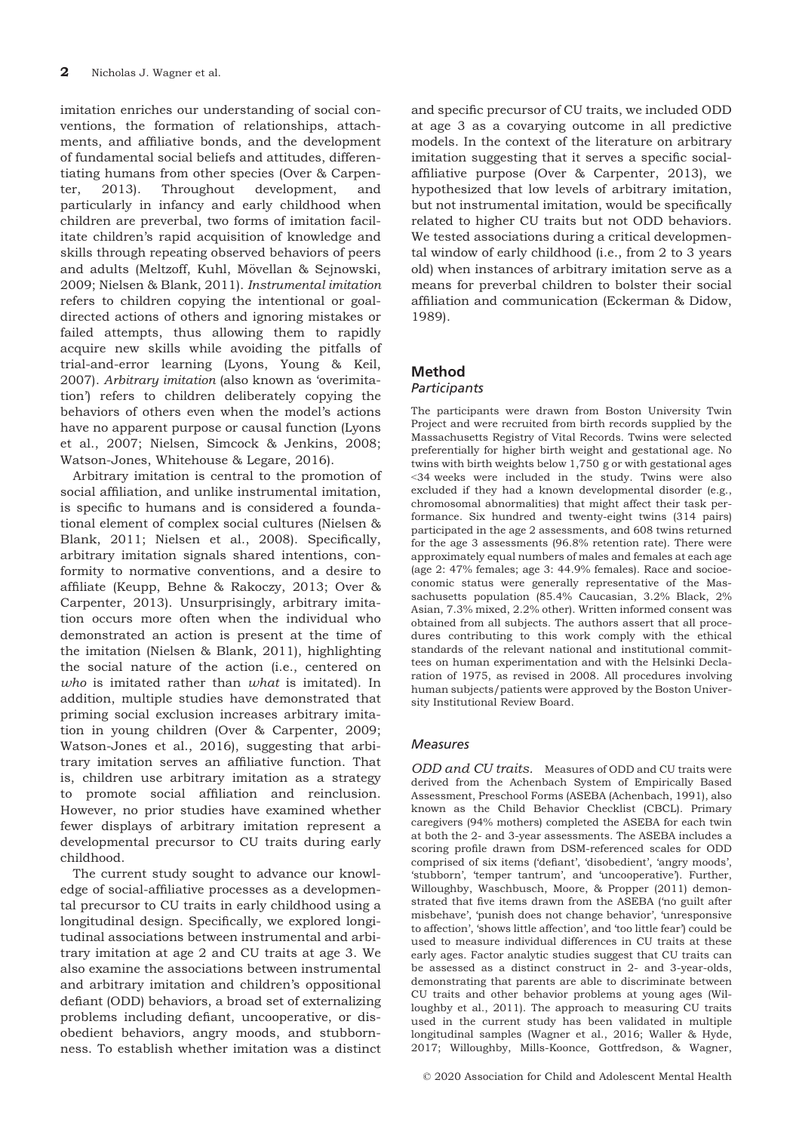imitation enriches our understanding of social conventions, the formation of relationships, attachments, and affiliative bonds, and the development of fundamental social beliefs and attitudes, differentiating humans from other species (Over & Carpenter, 2013). Throughout development, and particularly in infancy and early childhood when children are preverbal, two forms of imitation facilitate children's rapid acquisition of knowledge and skills through repeating observed behaviors of peers and adults (Meltzoff, Kuhl, Mövellan & Sejnowski, 2009; Nielsen & Blank, 2011). Instrumental imitation refers to children copying the intentional or goaldirected actions of others and ignoring mistakes or failed attempts, thus allowing them to rapidly acquire new skills while avoiding the pitfalls of trial-and-error learning (Lyons, Young & Keil, 2007). Arbitrary imitation (also known as 'overimitation') refers to children deliberately copying the behaviors of others even when the model's actions have no apparent purpose or causal function (Lyons et al., 2007; Nielsen, Simcock & Jenkins, 2008; Watson-Jones, Whitehouse & Legare, 2016).

Arbitrary imitation is central to the promotion of social affiliation, and unlike instrumental imitation, is specific to humans and is considered a foundational element of complex social cultures (Nielsen & Blank, 2011; Nielsen et al., 2008). Specifically, arbitrary imitation signals shared intentions, conformity to normative conventions, and a desire to affiliate (Keupp, Behne & Rakoczy, 2013; Over & Carpenter, 2013). Unsurprisingly, arbitrary imitation occurs more often when the individual who demonstrated an action is present at the time of the imitation (Nielsen & Blank, 2011), highlighting the social nature of the action (i.e., centered on who is imitated rather than  $what$  is imitated). In addition, multiple studies have demonstrated that priming social exclusion increases arbitrary imitation in young children (Over & Carpenter, 2009; Watson-Jones et al., 2016), suggesting that arbitrary imitation serves an affiliative function. That is, children use arbitrary imitation as a strategy to promote social affiliation and reinclusion. However, no prior studies have examined whether fewer displays of arbitrary imitation represent a developmental precursor to CU traits during early childhood.

The current study sought to advance our knowledge of social-affiliative processes as a developmental precursor to CU traits in early childhood using a longitudinal design. Specifically, we explored longitudinal associations between instrumental and arbitrary imitation at age 2 and CU traits at age 3. We also examine the associations between instrumental and arbitrary imitation and children's oppositional defiant (ODD) behaviors, a broad set of externalizing problems including defiant, uncooperative, or disobedient behaviors, angry moods, and stubbornness. To establish whether imitation was a distinct

and specific precursor of CU traits, we included ODD at age 3 as a covarying outcome in all predictive models. In the context of the literature on arbitrary imitation suggesting that it serves a specific socialaffiliative purpose (Over & Carpenter, 2013), we hypothesized that low levels of arbitrary imitation, but not instrumental imitation, would be specifically related to higher CU traits but not ODD behaviors. We tested associations during a critical developmental window of early childhood (i.e., from 2 to 3 years old) when instances of arbitrary imitation serve as a means for preverbal children to bolster their social affiliation and communication (Eckerman & Didow, 1989).

# Method

## **Participants**

The participants were drawn from Boston University Twin Project and were recruited from birth records supplied by the Massachusetts Registry of Vital Records. Twins were selected preferentially for higher birth weight and gestational age. No twins with birth weights below 1,750 g or with gestational ages <34 weeks were included in the study. Twins were also excluded if they had a known developmental disorder (e.g., chromosomal abnormalities) that might affect their task performance. Six hundred and twenty-eight twins (314 pairs) participated in the age 2 assessments, and 608 twins returned for the age 3 assessments (96.8% retention rate). There were approximately equal numbers of males and females at each age (age 2: 47% females; age 3: 44.9% females). Race and socioeconomic status were generally representative of the Massachusetts population (85.4% Caucasian, 3.2% Black, 2% Asian, 7.3% mixed, 2.2% other). Written informed consent was obtained from all subjects. The authors assert that all procedures contributing to this work comply with the ethical standards of the relevant national and institutional committees on human experimentation and with the Helsinki Declaration of 1975, as revised in 2008. All procedures involving human subjects/patients were approved by the Boston University Institutional Review Board.

## Measures

ODD and CU traits. Measures of ODD and CU traits were derived from the Achenbach System of Empirically Based Assessment, Preschool Forms (ASEBA (Achenbach, 1991), also known as the Child Behavior Checklist (CBCL). Primary caregivers (94% mothers) completed the ASEBA for each twin at both the 2- and 3-year assessments. The ASEBA includes a scoring profile drawn from DSM-referenced scales for ODD comprised of six items ('defiant', 'disobedient', 'angry moods', 'stubborn', 'temper tantrum', and 'uncooperative'). Further, Willoughby, Waschbusch, Moore, & Propper (2011) demonstrated that five items drawn from the ASEBA ('no guilt after misbehave', 'punish does not change behavior', 'unresponsive to affection', 'shows little affection', and 'too little fear') could be used to measure individual differences in CU traits at these early ages. Factor analytic studies suggest that CU traits can be assessed as a distinct construct in 2- and 3-year-olds, demonstrating that parents are able to discriminate between CU traits and other behavior problems at young ages (Willoughby et al., 2011). The approach to measuring CU traits used in the current study has been validated in multiple longitudinal samples (Wagner et al., 2016; Waller & Hyde, 2017; Willoughby, Mills-Koonce, Gottfredson, & Wagner,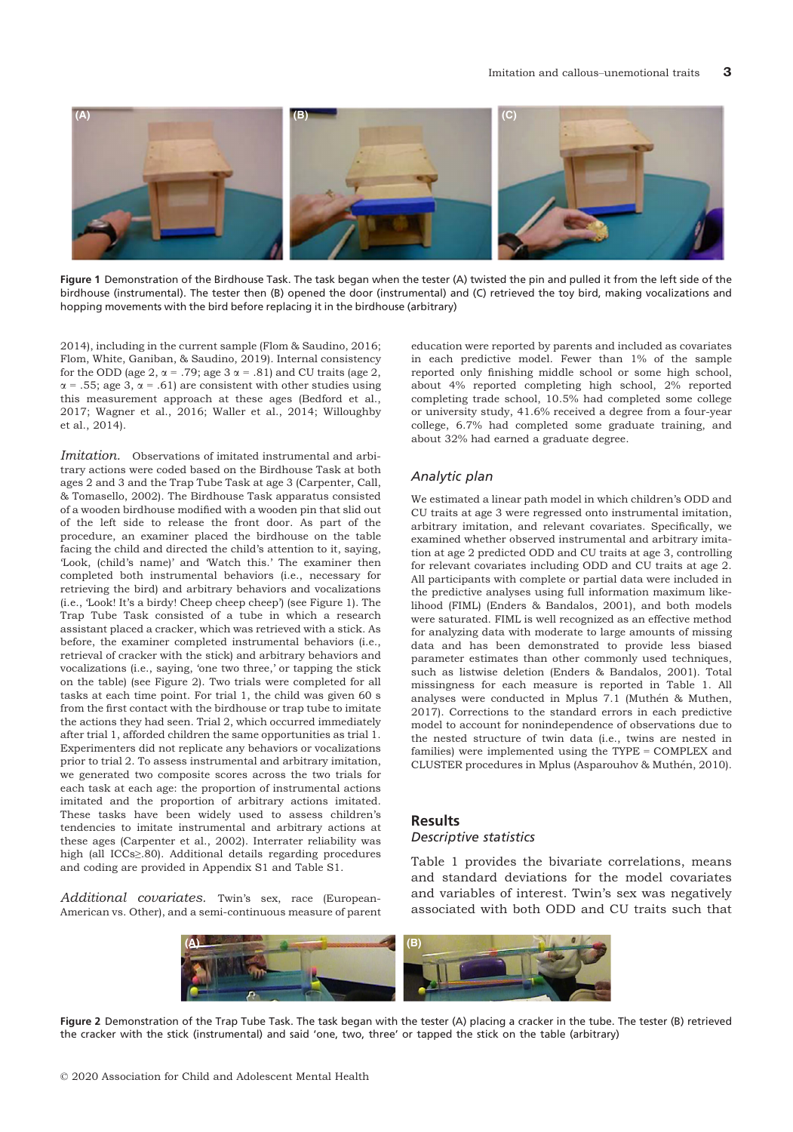

Figure 1 Demonstration of the Birdhouse Task. The task began when the tester (A) twisted the pin and pulled it from the left side of the birdhouse (instrumental). The tester then (B) opened the door (instrumental) and (C) retrieved the toy bird, making vocalizations and hopping movements with the bird before replacing it in the birdhouse (arbitrary)

2014), including in the current sample (Flom & Saudino, 2016; Flom, White, Ganiban, & Saudino, 2019). Internal consistency for the ODD (age 2,  $\alpha$  = .79; age 3  $\alpha$  = .81) and CU traits (age 2,  $\alpha$  = .55; age 3,  $\alpha$  = .61) are consistent with other studies using this measurement approach at these ages (Bedford et al., 2017; Wagner et al., 2016; Waller et al., 2014; Willoughby et al., 2014).

Imitation. Observations of imitated instrumental and arbitrary actions were coded based on the Birdhouse Task at both ages 2 and 3 and the Trap Tube Task at age 3 (Carpenter, Call, & Tomasello, 2002). The Birdhouse Task apparatus consisted of a wooden birdhouse modified with a wooden pin that slid out of the left side to release the front door. As part of the procedure, an examiner placed the birdhouse on the table facing the child and directed the child's attention to it, saying, 'Look, (child's name)' and 'Watch this.' The examiner then completed both instrumental behaviors (i.e., necessary for retrieving the bird) and arbitrary behaviors and vocalizations (i.e., 'Look! It's a birdy! Cheep cheep cheep') (see Figure 1). The Trap Tube Task consisted of a tube in which a research assistant placed a cracker, which was retrieved with a stick. As before, the examiner completed instrumental behaviors (i.e., retrieval of cracker with the stick) and arbitrary behaviors and vocalizations (i.e., saying, 'one two three,' or tapping the stick on the table) (see Figure 2). Two trials were completed for all tasks at each time point. For trial 1, the child was given 60 s from the first contact with the birdhouse or trap tube to imitate the actions they had seen. Trial 2, which occurred immediately after trial 1, afforded children the same opportunities as trial 1. Experimenters did not replicate any behaviors or vocalizations prior to trial 2. To assess instrumental and arbitrary imitation, we generated two composite scores across the two trials for each task at each age: the proportion of instrumental actions imitated and the proportion of arbitrary actions imitated. These tasks have been widely used to assess children's tendencies to imitate instrumental and arbitrary actions at these ages (Carpenter et al., 2002). Interrater reliability was high (all ICCs≥.80). Additional details regarding procedures and coding are provided in Appendix S1 and Table S1.

Additional covariates. Twin's sex, race (European-American vs. Other), and a semi-continuous measure of parent

education were reported by parents and included as covariates in each predictive model. Fewer than 1% of the sample reported only finishing middle school or some high school, about 4% reported completing high school, 2% reported completing trade school, 10.5% had completed some college or university study, 41.6% received a degree from a four-year college, 6.7% had completed some graduate training, and about 32% had earned a graduate degree.

#### Analytic plan

We estimated a linear path model in which children's ODD and CU traits at age 3 were regressed onto instrumental imitation, arbitrary imitation, and relevant covariates. Specifically, we examined whether observed instrumental and arbitrary imitation at age 2 predicted ODD and CU traits at age 3, controlling for relevant covariates including ODD and CU traits at age 2. All participants with complete or partial data were included in the predictive analyses using full information maximum likelihood (FIML) (Enders & Bandalos, 2001), and both models were saturated. FIML is well recognized as an effective method for analyzing data with moderate to large amounts of missing data and has been demonstrated to provide less biased parameter estimates than other commonly used techniques, such as listwise deletion (Enders & Bandalos, 2001). Total missingness for each measure is reported in Table 1. All analyses were conducted in Mplus 7.1 (Muthen & Muthen, - 2017). Corrections to the standard errors in each predictive model to account for nonindependence of observations due to the nested structure of twin data (i.e., twins are nested in families) were implemented using the TYPE = COMPLEX and CLUSTER procedures in Mplus (Asparouhov & Muthén, 2010).

#### Results Descriptive statistics

Table 1 provides the bivariate correlations, means and standard deviations for the model covariates and variables of interest. Twin's sex was negatively associated with both ODD and CU traits such that



Figure 2 Demonstration of the Trap Tube Task. The task began with the tester (A) placing a cracker in the tube. The tester (B) retrieved the cracker with the stick (instrumental) and said 'one, two, three' or tapped the stick on the table (arbitrary)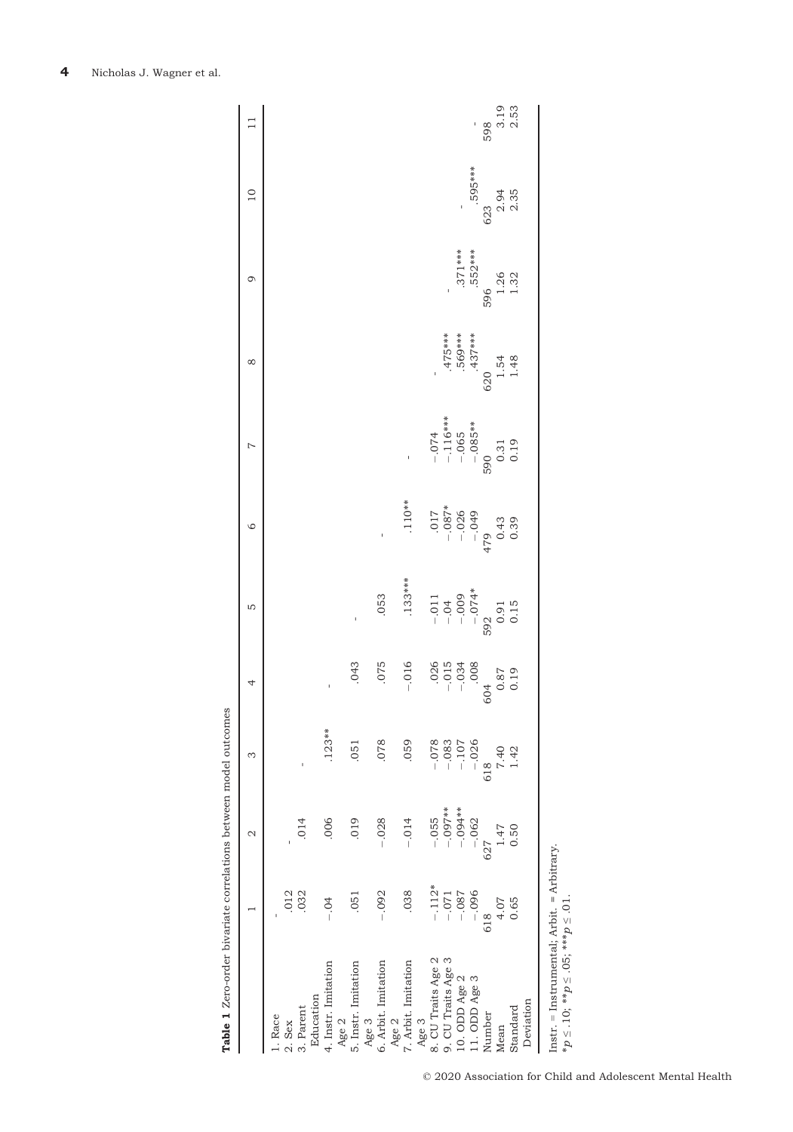| Table 1 Zero-order bivariate correlations between model outcomes |          |            |                |                                             |                                                                             |          |                                                                                |                                      |                        |                |                  |
|------------------------------------------------------------------|----------|------------|----------------|---------------------------------------------|-----------------------------------------------------------------------------|----------|--------------------------------------------------------------------------------|--------------------------------------|------------------------|----------------|------------------|
|                                                                  |          | 2          | S              | 4                                           | S                                                                           | $\circ$  | $\overline{a}$                                                                 | $^{\circ}$                           | O                      | $\overline{a}$ | $\Xi$            |
| 1. Race                                                          |          |            |                |                                             |                                                                             |          |                                                                                |                                      |                        |                |                  |
| 2. Sex                                                           | .012     |            |                |                                             |                                                                             |          |                                                                                |                                      |                        |                |                  |
| 3. Parent                                                        | .032     | .014       | $\overline{1}$ |                                             |                                                                             |          |                                                                                |                                      |                        |                |                  |
| Education                                                        |          |            |                |                                             |                                                                             |          |                                                                                |                                      |                        |                |                  |
| 4. Instr. Imitation                                              | $-0.04$  | .006       | $.123**$       |                                             |                                                                             |          |                                                                                |                                      |                        |                |                  |
| Age 2                                                            |          |            |                |                                             |                                                                             |          |                                                                                |                                      |                        |                |                  |
| 5. Instr. Imitation                                              | .051     | .019       | .051           | .043                                        |                                                                             |          |                                                                                |                                      |                        |                |                  |
| Age 3                                                            |          |            |                |                                             |                                                                             |          |                                                                                |                                      |                        |                |                  |
| 6. Arbit. Imitation                                              | $-.092$  | $-.028$    | .078           | .075                                        | .053                                                                        |          |                                                                                |                                      |                        |                |                  |
| Age 2                                                            |          |            |                |                                             |                                                                             |          |                                                                                |                                      |                        |                |                  |
| 7. Arbit. Imitation                                              | .038     | $-.014$    | .059           | $-0.016$                                    | $.133***$                                                                   | $.110**$ |                                                                                |                                      |                        |                |                  |
| Age 3                                                            |          |            |                |                                             |                                                                             |          |                                                                                |                                      |                        |                |                  |
| 8. CU Traits Age 2                                               | $-.112*$ | $-0.55$    | $-.078$        |                                             |                                                                             |          |                                                                                |                                      |                        |                |                  |
| 9. CU Traits Age 3                                               | $-.071$  | $-0.097**$ | $-.083$        |                                             |                                                                             |          |                                                                                |                                      |                        |                |                  |
| 10. ODD Age 2                                                    | $-.087$  | $-0.004**$ | $-.107$        |                                             |                                                                             |          |                                                                                |                                      |                        |                |                  |
| 11. ODD Age 3                                                    | $-0.096$ | $-.062$    | $-.026$        | $-0.015$<br>$-0.015$<br>$-0.034$<br>$-0.08$ |                                                                             |          |                                                                                | 475***<br>569***<br>569***<br>437*** | $.371***$<br>$.552***$ | .595***        |                  |
| Number                                                           | 618      | 627        | 618            | 604                                         |                                                                             |          |                                                                                |                                      | 596                    | 623            | 598              |
| Mean                                                             | 4.07     | 1.47       | 7.40           | 0.37<br>0.19                                |                                                                             |          |                                                                                |                                      | $1.36$<br>$1.32$       |                | $3.19$<br>$2.53$ |
| Standard                                                         | 0.65     | 0.50       | 1.42           |                                             | $-0.11$<br>$-0.04$<br>$-0.09$<br>$-0.74$<br>$-0.74$<br>592<br>50.91<br>0.15 |          | $-074$<br>$-116***$<br>$-065$<br>$-085***$<br>$-085***$<br>590<br>0.31<br>0.19 | $1.54$<br>$1.48$                     |                        | 2.94<br>2.35   |                  |
| Deviation                                                        |          |            |                |                                             |                                                                             |          |                                                                                |                                      |                        |                |                  |
| $Instr. = Instrumenta1; Arbit. = Arbitrary.$                     |          |            |                |                                             |                                                                             |          |                                                                                |                                      |                        |                |                  |

© 2020 Association for Child and Adolescent Mental Health

 ${}^*\mathcal{P} \leq .10;$  \*\*

 $p \leq .05;$  \*\*\*

 $p \leq .01$ .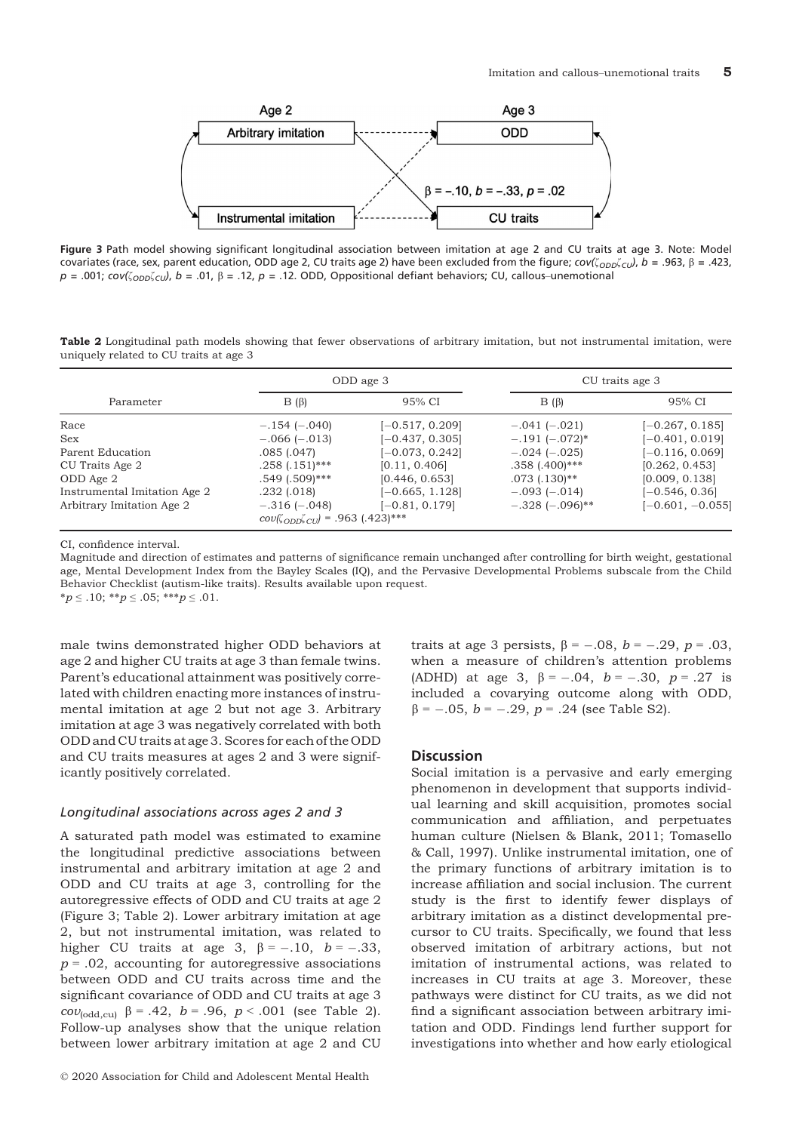

Figure 3 Path model showing significant longitudinal association between imitation at age 2 and CU traits at age 3. Note: Model covariates (race, sex, parent education, ODD age 2, CU traits age 2) have been excluded from the figure;  $cov(\zeta_{ODD}\zeta_{CU})$ , b = .963,  $\beta$  = .423,  $p = .001$ ;  $cov(\zeta_{ODD}\zeta_{CD})$ ,  $b = .01$ ,  $\beta = .12$ ,  $p = .12$ . ODD, Oppositional defiant behaviors; CU, callous–unemotional

Table 2 Longitudinal path models showing that fewer observations of arbitrary imitation, but not instrumental imitation, were uniquely related to CU traits at age 3

|                              |                                                                 | ODD age 3         |                    | CU traits age 3    |  |
|------------------------------|-----------------------------------------------------------------|-------------------|--------------------|--------------------|--|
| Parameter                    | $B(\beta)$                                                      | 95% CI            | $B(\beta)$         | 95% CI             |  |
| Race                         | $-.154(-.040)$                                                  | $[-0.517, 0.209]$ | $-.041 (-.021)$    | $[-0.267, 0.185]$  |  |
| <b>Sex</b>                   | $-.066(-.013)$                                                  | $[-0.437, 0.305]$ | $-.191(-.072)*$    | $[-0.401, 0.019]$  |  |
| Parent Education             | .085(.047)                                                      | $[-0.073, 0.242]$ | $-.024 (-.025)$    | $[-0.116, 0.069]$  |  |
| CU Traits Age 2              | $.258(.151)$ ***                                                | [0.11, 0.406]     | $.358(.400)$ ***   | [0.262, 0.453]     |  |
| ODD Age 2                    | .549 (.509)***                                                  | [0.446, 0.653]    | $.073$ $(.130)$ ** | [0.009, 0.138]     |  |
| Instrumental Imitation Age 2 | .232(.018)                                                      | $[-0.665, 1.128]$ | $-.093(-.014)$     | $[-0.546, 0.36]$   |  |
| Arbitrary Imitation Age 2    | $-.316(-.048)$<br>$cov(\zeta_{ODD}\zeta_{CU})$ = .963 (.423)*** | $[-0.81, 0.179]$  | $-.328(-.096)$ **  | $[-0.601, -0.055]$ |  |

CI, confidence interval.

Magnitude and direction of estimates and patterns of significance remain unchanged after controlling for birth weight, gestational age, Mental Development Index from the Bayley Scales (IQ), and the Pervasive Developmental Problems subscale from the Child Behavior Checklist (autism-like traits). Results available upon request.  $*_{p} \leq .10; **_{p} \leq .05; **_{p} \leq .01.$ 

male twins demonstrated higher ODD behaviors at age 2 and higher CU traits at age 3 than female twins. Parent's educational attainment was positively correlated with children enacting more instances of instrumental imitation at age 2 but not age 3. Arbitrary imitation at age 3 was negatively correlated with both ODD and CU traits at age 3. Scores for each of the ODD and CU traits measures at ages 2 and 3 were significantly positively correlated.

### Longitudinal associations across ages 2 and 3

A saturated path model was estimated to examine the longitudinal predictive associations between instrumental and arbitrary imitation at age 2 and ODD and CU traits at age 3, controlling for the autoregressive effects of ODD and CU traits at age 2 (Figure 3; Table 2). Lower arbitrary imitation at age 2, but not instrumental imitation, was related to higher CU traits at age 3,  $\beta = -.10$ ,  $b = -.33$ ,  $p = .02$ , accounting for autoregressive associations between ODD and CU traits across time and the significant covariance of ODD and CU traits at age 3 cov<sub>(odd,cu)</sub>  $\beta = .42$ ,  $b = .96$ ,  $p < .001$  (see Table 2). Follow-up analyses show that the unique relation between lower arbitrary imitation at age 2 and CU

traits at age 3 persists,  $\beta = -.08$ ,  $b = -.29$ ,  $p = .03$ , when a measure of children's attention problems (ADHD) at age 3,  $\beta = -.04$ ,  $b = -.30$ ,  $p = .27$  is included a covarying outcome along with ODD,  $\beta$  = -.05, *b* = -.29, *p* = .24 (see Table S2).

#### **Discussion**

Social imitation is a pervasive and early emerging phenomenon in development that supports individual learning and skill acquisition, promotes social communication and affiliation, and perpetuates human culture (Nielsen & Blank, 2011; Tomasello & Call, 1997). Unlike instrumental imitation, one of the primary functions of arbitrary imitation is to increase affiliation and social inclusion. The current study is the first to identify fewer displays of arbitrary imitation as a distinct developmental precursor to CU traits. Specifically, we found that less observed imitation of arbitrary actions, but not imitation of instrumental actions, was related to increases in CU traits at age 3. Moreover, these pathways were distinct for CU traits, as we did not find a significant association between arbitrary imitation and ODD. Findings lend further support for investigations into whether and how early etiological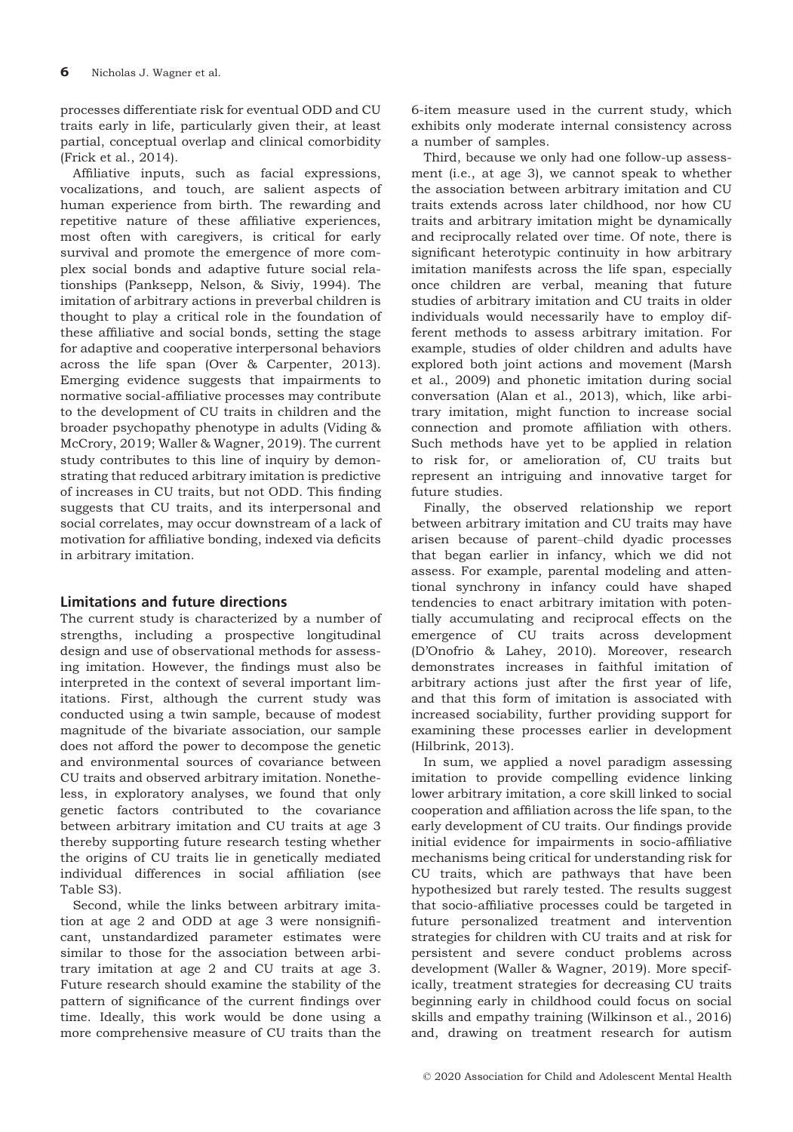processes differentiate risk for eventual ODD and CU traits early in life, particularly given their, at least partial, conceptual overlap and clinical comorbidity (Frick et al., 2014).

Affiliative inputs, such as facial expressions, vocalizations, and touch, are salient aspects of human experience from birth. The rewarding and repetitive nature of these affiliative experiences, most often with caregivers, is critical for early survival and promote the emergence of more complex social bonds and adaptive future social relationships (Panksepp, Nelson, & Siviy, 1994). The imitation of arbitrary actions in preverbal children is thought to play a critical role in the foundation of these affiliative and social bonds, setting the stage for adaptive and cooperative interpersonal behaviors across the life span (Over & Carpenter, 2013). Emerging evidence suggests that impairments to normative social-affiliative processes may contribute to the development of CU traits in children and the broader psychopathy phenotype in adults (Viding & McCrory, 2019; Waller & Wagner, 2019). The current study contributes to this line of inquiry by demonstrating that reduced arbitrary imitation is predictive of increases in CU traits, but not ODD. This finding suggests that CU traits, and its interpersonal and social correlates, may occur downstream of a lack of motivation for affiliative bonding, indexed via deficits in arbitrary imitation.

# Limitations and future directions

The current study is characterized by a number of strengths, including a prospective longitudinal design and use of observational methods for assessing imitation. However, the findings must also be interpreted in the context of several important limitations. First, although the current study was conducted using a twin sample, because of modest magnitude of the bivariate association, our sample does not afford the power to decompose the genetic and environmental sources of covariance between CU traits and observed arbitrary imitation. Nonetheless, in exploratory analyses, we found that only genetic factors contributed to the covariance between arbitrary imitation and CU traits at age 3 thereby supporting future research testing whether the origins of CU traits lie in genetically mediated individual differences in social affiliation (see Table S3).

Second, while the links between arbitrary imitation at age 2 and ODD at age 3 were nonsignificant, unstandardized parameter estimates were similar to those for the association between arbitrary imitation at age 2 and CU traits at age 3. Future research should examine the stability of the pattern of significance of the current findings over time. Ideally, this work would be done using a more comprehensive measure of CU traits than the

6-item measure used in the current study, which exhibits only moderate internal consistency across a number of samples.

Third, because we only had one follow-up assessment (i.e., at age 3), we cannot speak to whether the association between arbitrary imitation and CU traits extends across later childhood, nor how CU traits and arbitrary imitation might be dynamically and reciprocally related over time. Of note, there is significant heterotypic continuity in how arbitrary imitation manifests across the life span, especially once children are verbal, meaning that future studies of arbitrary imitation and CU traits in older individuals would necessarily have to employ different methods to assess arbitrary imitation. For example, studies of older children and adults have explored both joint actions and movement (Marsh et al., 2009) and phonetic imitation during social conversation (Alan et al., 2013), which, like arbitrary imitation, might function to increase social connection and promote affiliation with others. Such methods have yet to be applied in relation to risk for, or amelioration of, CU traits but represent an intriguing and innovative target for future studies.

Finally, the observed relationship we report between arbitrary imitation and CU traits may have arisen because of parent–child dyadic processes that began earlier in infancy, which we did not assess. For example, parental modeling and attentional synchrony in infancy could have shaped tendencies to enact arbitrary imitation with potentially accumulating and reciprocal effects on the emergence of CU traits across development (D'Onofrio & Lahey, 2010). Moreover, research demonstrates increases in faithful imitation of arbitrary actions just after the first year of life, and that this form of imitation is associated with increased sociability, further providing support for examining these processes earlier in development (Hilbrink, 2013).

In sum, we applied a novel paradigm assessing imitation to provide compelling evidence linking lower arbitrary imitation, a core skill linked to social cooperation and affiliation across the life span, to the early development of CU traits. Our findings provide initial evidence for impairments in socio-affiliative mechanisms being critical for understanding risk for CU traits, which are pathways that have been hypothesized but rarely tested. The results suggest that socio-affiliative processes could be targeted in future personalized treatment and intervention strategies for children with CU traits and at risk for persistent and severe conduct problems across development (Waller & Wagner, 2019). More specifically, treatment strategies for decreasing CU traits beginning early in childhood could focus on social skills and empathy training (Wilkinson et al., 2016) and, drawing on treatment research for autism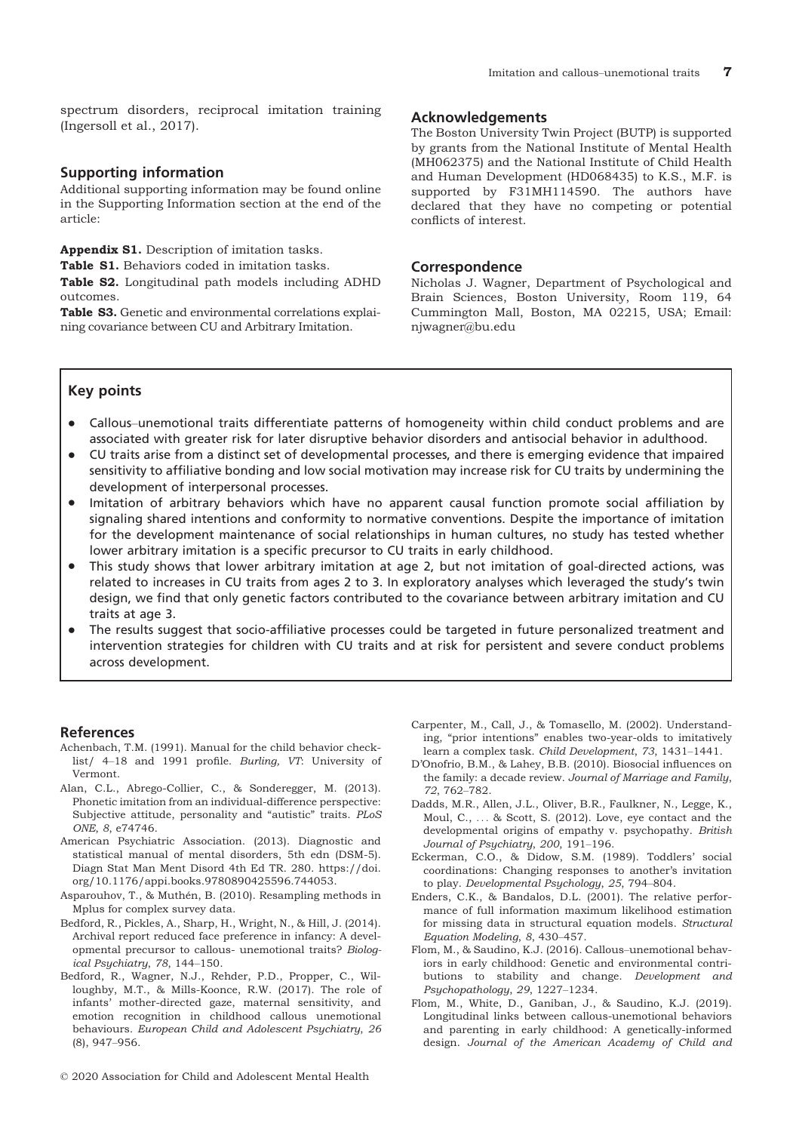spectrum disorders, reciprocal imitation training (Ingersoll et al., 2017).

#### Supporting information

Additional supporting information may be found online in the Supporting Information section at the end of the article:

Appendix S1. Description of imitation tasks.

Table S1. Behaviors coded in imitation tasks.

Table S2. Longitudinal path models including ADHD outcomes.

Table S3. Genetic and environmental correlations explaining covariance between CU and Arbitrary Imitation.

#### Acknowledgements

The Boston University Twin Project (BUTP) is supported by grants from the National Institute of Mental Health (MH062375) and the National Institute of Child Health and Human Development (HD068435) to K.S., M.F. is supported by F31MH114590. The authors have declared that they have no competing or potential conflicts of interest.

## Correspondence

Nicholas J. Wagner, Department of Psychological and Brain Sciences, Boston University, Room 119, 64 Cummington Mall, Boston, MA 02215, USA; Email: njwagner@bu.edu

## Key points

- Callous–unemotional traits differentiate patterns of homogeneity within child conduct problems and are associated with greater risk for later disruptive behavior disorders and antisocial behavior in adulthood.
- CU traits arise from a distinct set of developmental processes, and there is emerging evidence that impaired sensitivity to affiliative bonding and low social motivation may increase risk for CU traits by undermining the development of interpersonal processes.
- Imitation of arbitrary behaviors which have no apparent causal function promote social affiliation by signaling shared intentions and conformity to normative conventions. Despite the importance of imitation for the development maintenance of social relationships in human cultures, no study has tested whether lower arbitrary imitation is a specific precursor to CU traits in early childhood.
- This study shows that lower arbitrary imitation at age 2, but not imitation of goal-directed actions, was related to increases in CU traits from ages 2 to 3. In exploratory analyses which leveraged the study's twin design, we find that only genetic factors contributed to the covariance between arbitrary imitation and CU traits at age 3.
- The results suggest that socio-affiliative processes could be targeted in future personalized treatment and intervention strategies for children with CU traits and at risk for persistent and severe conduct problems across development.

### References

- Achenbach, T.M. (1991). Manual for the child behavior checklist/ 4–18 and 1991 profile. Burling, VT: University of Vermont.
- Alan, C.L., Abrego-Collier, C., & Sonderegger, M. (2013). Phonetic imitation from an individual-difference perspective: Subjective attitude, personality and "autistic" traits. PLoS ONE, 8, e74746.
- American Psychiatric Association. (2013). Diagnostic and statistical manual of mental disorders, 5th edn (DSM-5). Diagn Stat Man Ment Disord 4th Ed TR. 280. [https://doi.](https://doi.org/10.1176/appi.books.9780890425596.744053) [org/10.1176/appi.books.9780890425596.744053.](https://doi.org/10.1176/appi.books.9780890425596.744053)
- Asparouhov, T., & Muthén, B. (2010). Resampling methods in Mplus for complex survey data.
- Bedford, R., Pickles, A., Sharp, H., Wright, N., & Hill, J. (2014). Archival report reduced face preference in infancy: A developmental precursor to callous- unemotional traits? Biological Psychiatry, 78, 144–150.
- Bedford, R., Wagner, N.J., Rehder, P.D., Propper, C., Willoughby, M.T., & Mills-Koonce, R.W. (2017). The role of infants' mother-directed gaze, maternal sensitivity, and emotion recognition in childhood callous unemotional behaviours. European Child and Adolescent Psychiatry, 26 (8), 947–956.
- Carpenter, M., Call, J., & Tomasello, M. (2002). Understanding, "prior intentions" enables two-year-olds to imitatively learn a complex task. Child Development, 73, 1431–1441.
- D'Onofrio, B.M., & Lahey, B.B. (2010). Biosocial influences on the family: a decade review. Journal of Marriage and Family, 72, 762–782.
- Dadds, M.R., Allen, J.L., Oliver, B.R., Faulkner, N., Legge, K., Moul, C., ... & Scott, S. (2012). Love, eye contact and the developmental origins of empathy v. psychopathy. British Journal of Psychiatry, 200, 191–196.
- Eckerman, C.O., & Didow, S.M. (1989). Toddlers' social coordinations: Changing responses to another's invitation to play. Developmental Psychology, 25, 794–804.
- Enders, C.K., & Bandalos, D.L. (2001). The relative performance of full information maximum likelihood estimation for missing data in structural equation models. Structural Equation Modeling, 8, 430–457.
- Flom, M., & Saudino, K.J. (2016). Callous–unemotional behaviors in early childhood: Genetic and environmental contributions to stability and change. Development and Psychopathology, 29, 1227–1234.
- Flom, M., White, D., Ganiban, J., & Saudino, K.J. (2019). Longitudinal links between callous-unemotional behaviors and parenting in early childhood: A genetically-informed design. Journal of the American Academy of Child and